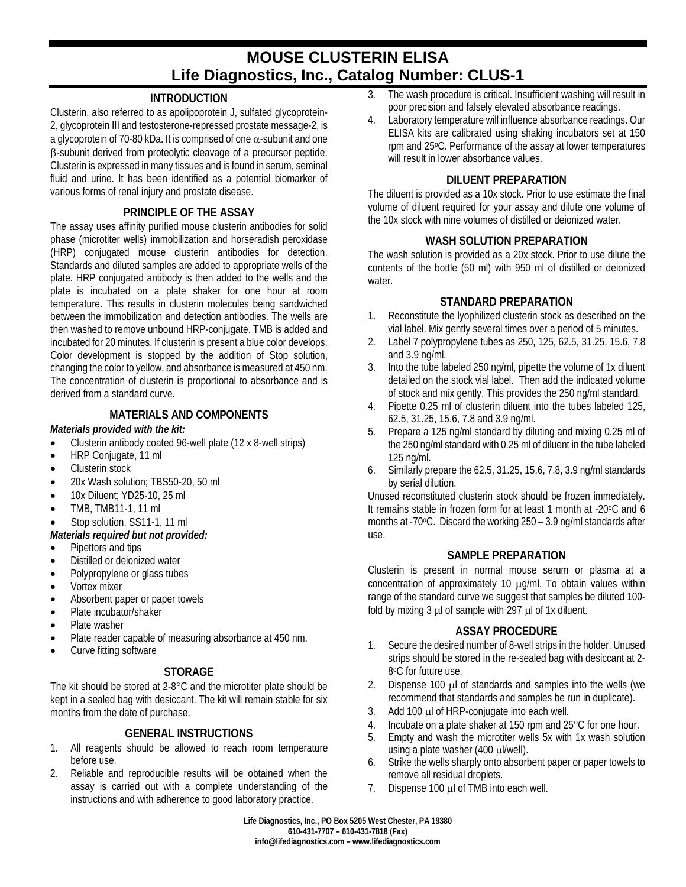# **MOUSE CLUSTERIN ELISA Life Diagnostics, Inc., Catalog Number: CLUS-1**

## **INTRODUCTION**

Clusterin, also referred to as apolipoprotein J, sulfated glycoprotein-2, glycoprotein III and testosterone-repressed prostate message-2, is a glycoprotein of 70-80 kDa. It is comprised of one  $\alpha$ -subunit and one β-subunit derived from proteolytic cleavage of a precursor peptide. Clusterin is expressed in many tissues and is found in serum, seminal fluid and urine. It has been identified as a potential biomarker of various forms of renal injury and prostate disease.

## **PRINCIPLE OF THE ASSAY**

The assay uses affinity purified mouse clusterin antibodies for solid phase (microtiter wells) immobilization and horseradish peroxidase (HRP) conjugated mouse clusterin antibodies for detection. Standards and diluted samples are added to appropriate wells of the plate. HRP conjugated antibody is then added to the wells and the plate is incubated on a plate shaker for one hour at room temperature. This results in clusterin molecules being sandwiched between the immobilization and detection antibodies. The wells are then washed to remove unbound HRP-conjugate. TMB is added and incubated for 20 minutes. If clusterin is present a blue color develops. Color development is stopped by the addition of Stop solution, changing the color to yellow, and absorbance is measured at 450 nm. The concentration of clusterin is proportional to absorbance and is derived from a standard curve.

## **MATERIALS AND COMPONENTS**

#### *Materials provided with the kit:*

- Clusterin antibody coated 96-well plate (12 x 8-well strips)
- HRP Coniugate, 11 ml
- Clusterin stock
- 20x Wash solution; TBS50-20, 50 ml
- 10x Diluent; YD25-10, 25 ml
- TMB, TMB11-1, 11 ml
- Stop solution, SS11-1, 11 ml
- *Materials required but not provided:*
- Pipettors and tips
- Distilled or deionized water
- Polypropylene or glass tubes
- Vortex mixer
- Absorbent paper or paper towels
- Plate incubator/shaker
- Plate washer
- Plate reader capable of measuring absorbance at 450 nm.
- Curve fitting software

# **STORAGE**

The kit should be stored at 2-8°C and the microtiter plate should be kept in a sealed bag with desiccant. The kit will remain stable for six months from the date of purchase.

# **GENERAL INSTRUCTIONS**

- 1. All reagents should be allowed to reach room temperature before use.
- 2. Reliable and reproducible results will be obtained when the assay is carried out with a complete understanding of the instructions and with adherence to good laboratory practice.
- 3. The wash procedure is critical. Insufficient washing will result in poor precision and falsely elevated absorbance readings.
- 4. Laboratory temperature will influence absorbance readings. Our ELISA kits are calibrated using shaking incubators set at 150 rpm and 25°C. Performance of the assay at lower temperatures will result in lower absorbance values.

## **DILUENT PREPARATION**

The diluent is provided as a 10x stock. Prior to use estimate the final volume of diluent required for your assay and dilute one volume of the 10x stock with nine volumes of distilled or deionized water.

# **WASH SOLUTION PREPARATION**

The wash solution is provided as a 20x stock. Prior to use dilute the contents of the bottle (50 ml) with 950 ml of distilled or deionized water.

## **STANDARD PREPARATION**

- 1. Reconstitute the lyophilized clusterin stock as described on the vial label. Mix gently several times over a period of 5 minutes.
- 2. Label 7 polypropylene tubes as 250, 125, 62.5, 31.25, 15.6, 7.8 and 3.9 ng/ml.
- 3. Into the tube labeled 250 ng/ml, pipette the volume of 1x diluent detailed on the stock vial label. Then add the indicated volume of stock and mix gently. This provides the 250 ng/ml standard.
- 4. Pipette 0.25 ml of clusterin diluent into the tubes labeled 125, 62.5, 31.25, 15.6, 7.8 and 3.9 ng/ml.
- 5. Prepare a 125 ng/ml standard by diluting and mixing 0.25 ml of the 250 ng/ml standard with 0.25 ml of diluent in the tube labeled 125 ng/ml.
- 6. Similarly prepare the 62.5, 31.25, 15.6, 7.8, 3.9 ng/ml standards by serial dilution.

Unused reconstituted clusterin stock should be frozen immediately. It remains stable in frozen form for at least 1 month at -20°C and 6 months at -70 $\degree$ C. Discard the working 250 – 3.9 ng/ml standards after use.

## **SAMPLE PREPARATION**

Clusterin is present in normal mouse serum or plasma at a concentration of approximately 10 µg/ml. To obtain values within range of the standard curve we suggest that samples be diluted 100 fold by mixing  $3 \mu$  of sample with 297  $\mu$ l of 1x diluent.

## **ASSAY PROCEDURE**

- 1. Secure the desired number of 8-well strips in the holder. Unused strips should be stored in the re-sealed bag with desiccant at 2- 8oC for future use.
- 2. Dispense 100 µl of standards and samples into the wells (we recommend that standards and samples be run in duplicate).
- 3. Add 100 µl of HRP-conjugate into each well.
- 4. Incubate on a plate shaker at 150 rpm and 25°C for one hour.
- 5. Empty and wash the microtiter wells 5x with 1x wash solution using a plate washer (400 µl/well).
- 6. Strike the wells sharply onto absorbent paper or paper towels to remove all residual droplets.
- 7. Dispense 100 µl of TMB into each well.

**Life Diagnostics, Inc., PO Box 5205 West Chester, PA 19380 610-431-7707 – 610-431-7818 (Fax) info@lifediagnostics.com – www.lifediagnostics.com**